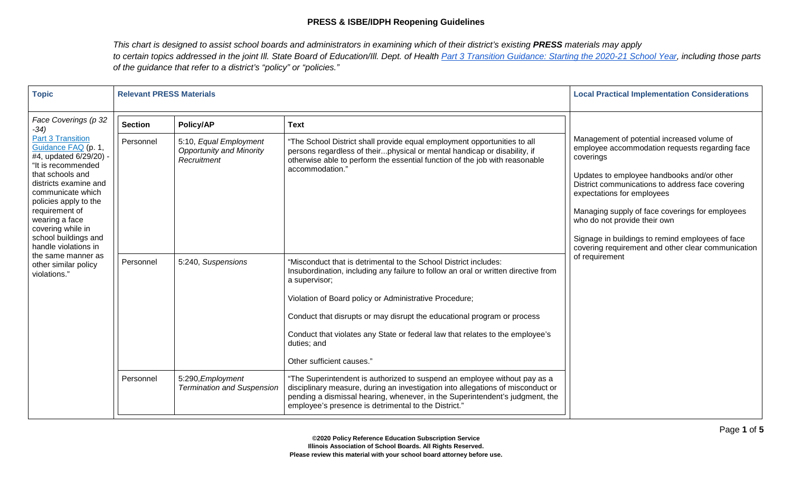| <b>Topic</b>                                                                                                                                                                                                                                                                                                                                                                                        | <b>Relevant PRESS Materials</b> |                                                                                              | <b>Local Practical Implementation Considerations</b>                                                                                                                                                                                                                                                                                                                                                                                      |                                                                                                                                                                                                                                                                                                                                                                                                                                                           |
|-----------------------------------------------------------------------------------------------------------------------------------------------------------------------------------------------------------------------------------------------------------------------------------------------------------------------------------------------------------------------------------------------------|---------------------------------|----------------------------------------------------------------------------------------------|-------------------------------------------------------------------------------------------------------------------------------------------------------------------------------------------------------------------------------------------------------------------------------------------------------------------------------------------------------------------------------------------------------------------------------------------|-----------------------------------------------------------------------------------------------------------------------------------------------------------------------------------------------------------------------------------------------------------------------------------------------------------------------------------------------------------------------------------------------------------------------------------------------------------|
| Face Coverings (p 32<br>$-34)$<br><b>Part 3 Transition</b><br>Guidance FAQ (p. 1,<br>#4, updated 6/29/20) -<br>"It is recommended<br>that schools and<br>districts examine and<br>communicate which<br>policies apply to the<br>requirement of<br>wearing a face<br>covering while in<br>school buildings and<br>handle violations in<br>the same manner as<br>other similar policy<br>violations." | <b>Section</b><br>Personnel     | <b>Policy/AP</b><br>5:10, Equal Employment<br><b>Opportunity and Minority</b><br>Recruitment | <b>Text</b><br>"The School District shall provide equal employment opportunities to all<br>persons regardless of theirphysical or mental handicap or disability, if<br>otherwise able to perform the essential function of the job with reasonable<br>accommodation."                                                                                                                                                                     | Management of potential increased volume of<br>employee accommodation requests regarding face<br>coverings<br>Updates to employee handbooks and/or other<br>District communications to address face covering<br>expectations for employees<br>Managing supply of face coverings for employees<br>who do not provide their own<br>Signage in buildings to remind employees of face<br>covering requirement and other clear communication<br>of requirement |
|                                                                                                                                                                                                                                                                                                                                                                                                     | Personnel                       | 5:240, Suspensions                                                                           | "Misconduct that is detrimental to the School District includes:<br>Insubordination, including any failure to follow an oral or written directive from<br>a supervisor;<br>Violation of Board policy or Administrative Procedure;<br>Conduct that disrupts or may disrupt the educational program or process<br>Conduct that violates any State or federal law that relates to the employee's<br>duties; and<br>Other sufficient causes." |                                                                                                                                                                                                                                                                                                                                                                                                                                                           |
|                                                                                                                                                                                                                                                                                                                                                                                                     | Personnel                       | 5:290, Employment<br><b>Termination and Suspension</b>                                       | "The Superintendent is authorized to suspend an employee without pay as a<br>disciplinary measure, during an investigation into allegations of misconduct or<br>pending a dismissal hearing, whenever, in the Superintendent's judgment, the<br>employee's presence is detrimental to the District."                                                                                                                                      |                                                                                                                                                                                                                                                                                                                                                                                                                                                           |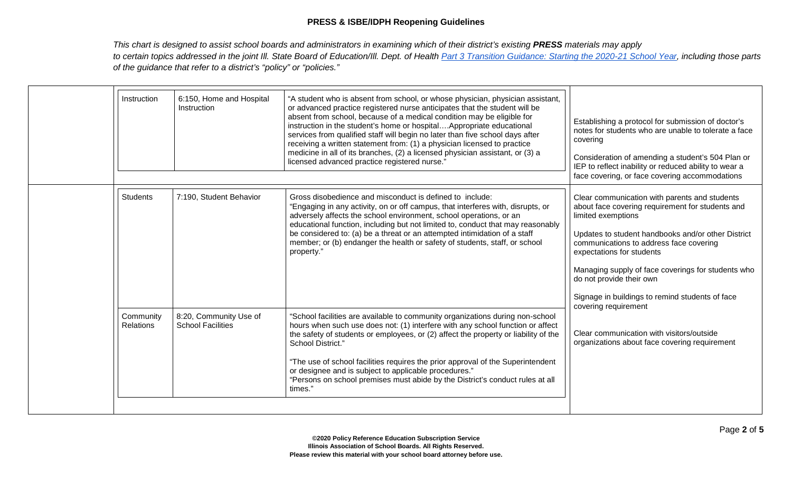| Instruction                   | 6:150, Home and Hospital<br>Instruction            | "A student who is absent from school, or whose physician, physician assistant,<br>or advanced practice registered nurse anticipates that the student will be<br>absent from school, because of a medical condition may be eligible for<br>instruction in the student's home or hospitalAppropriate educational<br>services from qualified staff will begin no later than five school days after<br>receiving a written statement from: (1) a physician licensed to practice<br>medicine in all of its branches, (2) a licensed physician assistant, or (3) a<br>licensed advanced practice registered nurse." | Establishing a protocol for submission of doctor's<br>notes for students who are unable to tolerate a face<br>covering<br>Consideration of amending a student's 504 Plan or<br>IEP to reflect inability or reduced ability to wear a<br>face covering, or face covering accommodations                                                                                                                             |
|-------------------------------|----------------------------------------------------|---------------------------------------------------------------------------------------------------------------------------------------------------------------------------------------------------------------------------------------------------------------------------------------------------------------------------------------------------------------------------------------------------------------------------------------------------------------------------------------------------------------------------------------------------------------------------------------------------------------|--------------------------------------------------------------------------------------------------------------------------------------------------------------------------------------------------------------------------------------------------------------------------------------------------------------------------------------------------------------------------------------------------------------------|
| <b>Students</b>               | 7:190, Student Behavior                            | Gross disobedience and misconduct is defined to include:<br>"Engaging in any activity, on or off campus, that interferes with, disrupts, or<br>adversely affects the school environment, school operations, or an<br>educational function, including but not limited to, conduct that may reasonably<br>be considered to: (a) be a threat or an attempted intimidation of a staff<br>member; or (b) endanger the health or safety of students, staff, or school<br>property."                                                                                                                                 | Clear communication with parents and students<br>about face covering requirement for students and<br>limited exemptions<br>Updates to student handbooks and/or other District<br>communications to address face covering<br>expectations for students<br>Managing supply of face coverings for students who<br>do not provide their own<br>Signage in buildings to remind students of face<br>covering requirement |
| Community<br><b>Relations</b> | 8:20, Community Use of<br><b>School Facilities</b> | "School facilities are available to community organizations during non-school<br>hours when such use does not: (1) interfere with any school function or affect<br>the safety of students or employees, or (2) affect the property or liability of the<br>School District."<br>"The use of school facilities requires the prior approval of the Superintendent<br>or designee and is subject to applicable procedures."<br>"Persons on school premises must abide by the District's conduct rules at all<br>times."                                                                                           | Clear communication with visitors/outside<br>organizations about face covering requirement                                                                                                                                                                                                                                                                                                                         |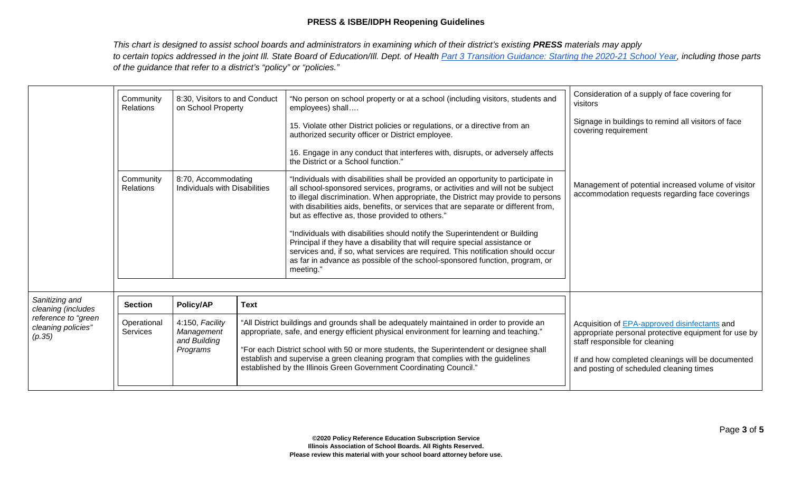|                                                                                             | Community<br><b>Relations</b>  | 8:30, Visitors to and Conduct<br>on School Property       |                                                                                                                                                                                                                                                                                                                                                                                                                                                | "No person on school property or at a school (including visitors, students and<br>employees) shall                                                                                                                                                                                                                                                                                                                                                                                                                                                                                                                                                                                                                                            | Consideration of a supply of face covering for<br>visitors                                                                                                                                                                              |
|---------------------------------------------------------------------------------------------|--------------------------------|-----------------------------------------------------------|------------------------------------------------------------------------------------------------------------------------------------------------------------------------------------------------------------------------------------------------------------------------------------------------------------------------------------------------------------------------------------------------------------------------------------------------|-----------------------------------------------------------------------------------------------------------------------------------------------------------------------------------------------------------------------------------------------------------------------------------------------------------------------------------------------------------------------------------------------------------------------------------------------------------------------------------------------------------------------------------------------------------------------------------------------------------------------------------------------------------------------------------------------------------------------------------------------|-----------------------------------------------------------------------------------------------------------------------------------------------------------------------------------------------------------------------------------------|
|                                                                                             |                                |                                                           |                                                                                                                                                                                                                                                                                                                                                                                                                                                | 15. Violate other District policies or regulations, or a directive from an<br>authorized security officer or District employee.                                                                                                                                                                                                                                                                                                                                                                                                                                                                                                                                                                                                               | Signage in buildings to remind all visitors of face<br>covering requirement                                                                                                                                                             |
|                                                                                             |                                |                                                           |                                                                                                                                                                                                                                                                                                                                                                                                                                                | 16. Engage in any conduct that interferes with, disrupts, or adversely affects<br>the District or a School function."                                                                                                                                                                                                                                                                                                                                                                                                                                                                                                                                                                                                                         |                                                                                                                                                                                                                                         |
|                                                                                             | Community<br>Relations         | 8:70, Accommodating<br>Individuals with Disabilities      |                                                                                                                                                                                                                                                                                                                                                                                                                                                | "Individuals with disabilities shall be provided an opportunity to participate in<br>all school-sponsored services, programs, or activities and will not be subject<br>to illegal discrimination. When appropriate, the District may provide to persons<br>with disabilities aids, benefits, or services that are separate or different from,<br>but as effective as, those provided to others."<br>"Individuals with disabilities should notify the Superintendent or Building<br>Principal if they have a disability that will require special assistance or<br>services and, if so, what services are required. This notification should occur<br>as far in advance as possible of the school-sponsored function, program, or<br>meeting." | Management of potential increased volume of visitor<br>accommodation requests regarding face coverings                                                                                                                                  |
| Sanitizing and<br>cleaning (includes<br>reference to "green<br>cleaning policies"<br>(p.35) | <b>Section</b>                 | Policy/AP                                                 | <b>Text</b>                                                                                                                                                                                                                                                                                                                                                                                                                                    |                                                                                                                                                                                                                                                                                                                                                                                                                                                                                                                                                                                                                                                                                                                                               |                                                                                                                                                                                                                                         |
|                                                                                             | Operational<br><b>Services</b> | 4:150, Facility<br>Management<br>and Building<br>Programs | "All District buildings and grounds shall be adequately maintained in order to provide an<br>appropriate, safe, and energy efficient physical environment for learning and teaching."<br>"For each District school with 50 or more students, the Superintendent or designee shall<br>establish and supervise a green cleaning program that complies with the guidelines<br>established by the Illinois Green Government Coordinating Council." |                                                                                                                                                                                                                                                                                                                                                                                                                                                                                                                                                                                                                                                                                                                                               | Acquisition of EPA-approved disinfectants and<br>appropriate personal protective equipment for use by<br>staff responsible for cleaning<br>If and how completed cleanings will be documented<br>and posting of scheduled cleaning times |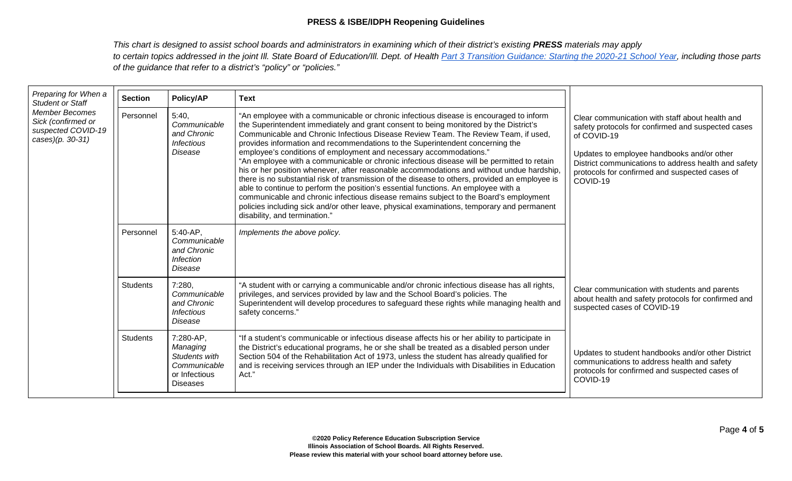| Preparing for When a<br><b>Student or Staff</b><br><b>Member Becomes</b><br>Sick (confirmed or<br>suspected COVID-19<br>cases)(p. 30-31) | <b>Section</b>  | Policy/AP                                                                                  |                                                                                                                                                                                                                                                                                                                                                                                                                                                                                                                                                                                                                                                                                                                                                                                                                                                                                                                                                                                                                                                        |                                                                                                                                                                                                                                                                                          |
|------------------------------------------------------------------------------------------------------------------------------------------|-----------------|--------------------------------------------------------------------------------------------|--------------------------------------------------------------------------------------------------------------------------------------------------------------------------------------------------------------------------------------------------------------------------------------------------------------------------------------------------------------------------------------------------------------------------------------------------------------------------------------------------------------------------------------------------------------------------------------------------------------------------------------------------------------------------------------------------------------------------------------------------------------------------------------------------------------------------------------------------------------------------------------------------------------------------------------------------------------------------------------------------------------------------------------------------------|------------------------------------------------------------------------------------------------------------------------------------------------------------------------------------------------------------------------------------------------------------------------------------------|
|                                                                                                                                          | Personnel       | 5:40.<br>Communicable<br>and Chronic<br><b>Infectious</b><br>Disease                       | <b>Text</b><br>"An employee with a communicable or chronic infectious disease is encouraged to inform<br>the Superintendent immediately and grant consent to being monitored by the District's<br>Communicable and Chronic Infectious Disease Review Team. The Review Team, if used,<br>provides information and recommendations to the Superintendent concerning the<br>employee's conditions of employment and necessary accommodations."<br>"An employee with a communicable or chronic infectious disease will be permitted to retain<br>his or her position whenever, after reasonable accommodations and without undue hardship,<br>there is no substantial risk of transmission of the disease to others, provided an employee is<br>able to continue to perform the position's essential functions. An employee with a<br>communicable and chronic infectious disease remains subject to the Board's employment<br>policies including sick and/or other leave, physical examinations, temporary and permanent<br>disability, and termination." | Clear communication with staff about health and<br>safety protocols for confirmed and suspected cases<br>of COVID-19<br>Updates to employee handbooks and/or other<br>District communications to address health and safety<br>protocols for confirmed and suspected cases of<br>COVID-19 |
|                                                                                                                                          | Personnel       | $5:40-AP$ ,<br>Communicable<br>and Chronic<br><b>Infection</b><br>Disease                  | Implements the above policy.                                                                                                                                                                                                                                                                                                                                                                                                                                                                                                                                                                                                                                                                                                                                                                                                                                                                                                                                                                                                                           |                                                                                                                                                                                                                                                                                          |
|                                                                                                                                          | <b>Students</b> | 7:280,<br>Communicable<br>and Chronic<br><b>Infectious</b><br>Disease                      | "A student with or carrying a communicable and/or chronic infectious disease has all rights,<br>privileges, and services provided by law and the School Board's policies. The<br>Superintendent will develop procedures to safeguard these rights while managing health and<br>safety concerns."                                                                                                                                                                                                                                                                                                                                                                                                                                                                                                                                                                                                                                                                                                                                                       | Clear communication with students and parents<br>about health and safety protocols for confirmed and<br>suspected cases of COVID-19                                                                                                                                                      |
|                                                                                                                                          | <b>Students</b> | 7:280-AP,<br>Managing<br>Students with<br>Communicable<br>or Infectious<br><b>Diseases</b> | "If a student's communicable or infectious disease affects his or her ability to participate in<br>the District's educational programs, he or she shall be treated as a disabled person under<br>Section 504 of the Rehabilitation Act of 1973, unless the student has already qualified for<br>and is receiving services through an IEP under the Individuals with Disabilities in Education<br>Act."                                                                                                                                                                                                                                                                                                                                                                                                                                                                                                                                                                                                                                                 | Updates to student handbooks and/or other District<br>communications to address health and safety<br>protocols for confirmed and suspected cases of<br>COVID-19                                                                                                                          |